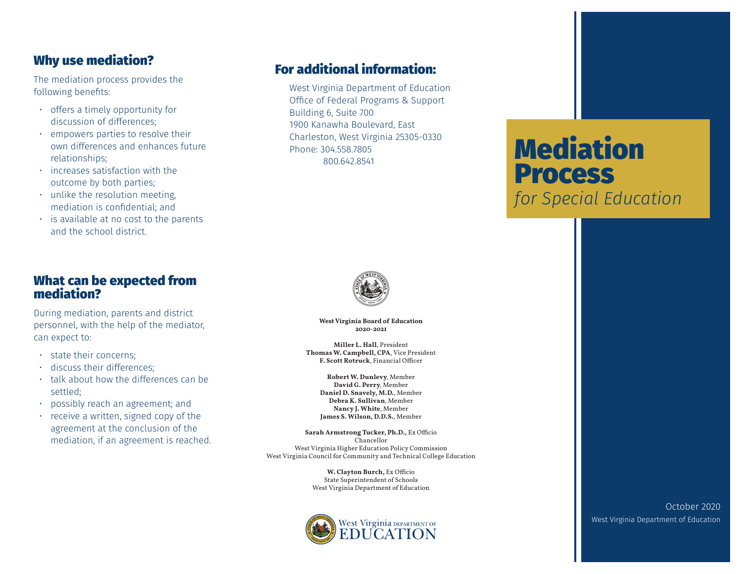# Why use mediation?

The mediation process provides the following benefits:

- offers a timely opportunity for discussion of differences;
- empowers parties to resolve their own differences and enhances future relationships;
- increases satisfaction with the outcome by both parties;
- unlike the resolution meeting, mediation is confidential; and
- is available at no cost to the parents and the school district.

#### What can be expected from mediation?

During mediation, parents and district personnel, with the help of the mediator, can expect to:

- state their concerns;
- discuss their differences;
- talk about how the differences can be settled;
- possibly reach an agreement; and
- receive a written, signed copy of the agreement at the conclusion of the mediation, if an agreement is reached.

## For additional information:

West Virginia Department of Education Office of Federal Programs & Support Building 6, Suite 700 1900 Kanawha Boulevard, East Charleston, West Virginia 25305-0330 Phone: 304.558.7805 800.642.8541



**West Virginia Board of Education 2020-2021**

**Miller L. Hall**, President **Thomas W. Campbell, CPA**, Vice President **F. Scott Rotruck**, Financial Officer

> **Robert W. Dunlevy**, Member **David G. Perry**, Member **Daniel D. Snavely, M.D.**, Member **Debra K. Sullivan**, Member **Nancy J. White**, Member **James S. Wilson, D.D.S.**, Member

**Sarah Armstrong Tucker, Ph.D.,** Ex Officio Chancellor West Virginia Higher Education Policy Commission West Virginia Council for Community and Technical College Education

> **W. Clayton Burch,** Ex Officio State Superintendent of Schools West Virginia Department of Education



# Mediation Process *for Special Education*

October 2020 West Virginia Department of Education